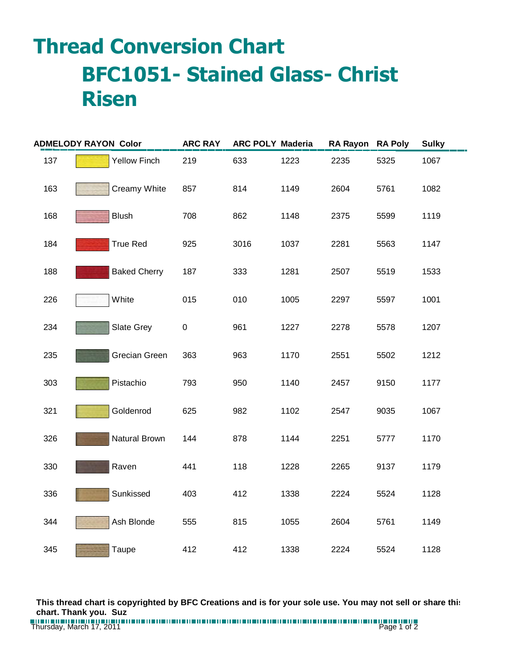## **Thread Conversion Chart BFC1051- Stained Glass- Christ Risen**

| <b>ADMELODY RAYON Color</b> |              |                     | <b>ARC RAY</b> | <b>ARC POLY Maderia</b> |      | <b>RA Rayon</b> | <b>RA Poly</b> | <b>Sulky</b> |
|-----------------------------|--------------|---------------------|----------------|-------------------------|------|-----------------|----------------|--------------|
| 137                         |              | <b>Yellow Finch</b> | 219            | 633                     | 1223 | 2235            | 5325           | 1067         |
| 163                         |              | Creamy White        | 857            | 814                     | 1149 | 2604            | 5761           | 1082         |
| 168                         | <b>Blush</b> |                     | 708            | 862                     | 1148 | 2375            | 5599           | 1119         |
| 184                         |              | <b>True Red</b>     | 925            | 3016                    | 1037 | 2281            | 5563           | 1147         |
| 188                         |              | <b>Baked Cherry</b> | 187            | 333                     | 1281 | 2507            | 5519           | 1533         |
| 226                         | White        |                     | 015            | 010                     | 1005 | 2297            | 5597           | 1001         |
| 234                         |              | <b>Slate Grey</b>   | $\pmb{0}$      | 961                     | 1227 | 2278            | 5578           | 1207         |
| 235                         |              | Grecian Green       | 363            | 963                     | 1170 | 2551            | 5502           | 1212         |
| 303                         |              | Pistachio           | 793            | 950                     | 1140 | 2457            | 9150           | 1177         |
| 321                         |              | Goldenrod           | 625            | 982                     | 1102 | 2547            | 9035           | 1067         |
| 326                         |              | Natural Brown       | 144            | 878                     | 1144 | 2251            | 5777           | 1170         |
| 330                         | Raven        |                     | 441            | 118                     | 1228 | 2265            | 9137           | 1179         |
| 336                         |              | Sunkissed           | 403            | 412                     | 1338 | 2224            | 5524           | 1128         |
| 344                         |              | Ash Blonde          | 555            | 815                     | 1055 | 2604            | 5761           | 1149         |
| 345                         | Taupe        |                     | 412            | 412                     | 1338 | 2224            | 5524           | 1128         |

**This thread chart is copyrighted by BFC Creations and is for your sole use. You may not sell or share this chart. Thank you. Suz**